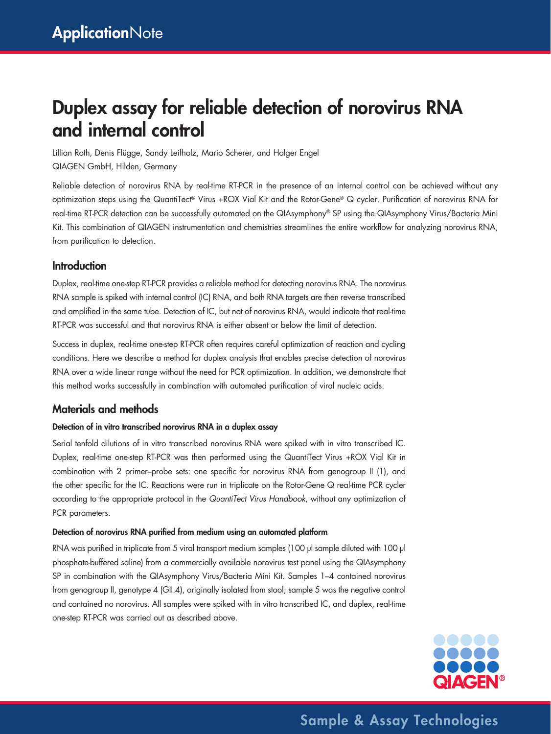# Duplex assay for reliable detection of norovirus RNA and internal control

Lillian Roth, Denis Flügge, Sandy Leifholz, Mario Scherer, and Holger Engel QIAGEN GmbH, Hilden, Germany

Reliable detection of norovirus RNA by real-time RT-PCR in the presence of an internal control can be achieved without any optimization steps using the QuantiTect® Virus +ROX Vial Kit and the Rotor-Gene® Q cycler. Purification of norovirus RNA for real-time RT-PCR detection can be successfully automated on the QIAsymphony® SP using the QIAsymphony Virus/Bacteria Mini Kit. This combination of QIAGEN instrumentation and chemistries streamlines the entire workflow for analyzing norovirus RNA, from purification to detection.

## **Introduction**

Duplex, real-time one-step RT-PCR provides a reliable method for detecting norovirus RNA. The norovirus RNA sample is spiked with internal control (IC) RNA, and both RNA targets are then reverse transcribed and amplified in the same tube. Detection of IC, but not of norovirus RNA, would indicate that real-time RT-PCR was successful and that norovirus RNA is either absent or below the limit of detection.

Success in duplex, real-time one-step RT-PCR often requires careful optimization of reaction and cycling conditions. Here we describe a method for duplex analysis that enables precise detection of norovirus RNA over a wide linear range without the need for PCR optimization. In addition, we demonstrate that this method works successfully in combination with automated purification of viral nucleic acids.

## Materials and methods

### Detection of in vitro transcribed norovirus RNA in a duplex assay

Serial tenfold dilutions of in vitro transcribed norovirus RNA were spiked with in vitro transcribed IC. Duplex, real-time one-step RT-PCR was then performed using the QuantiTect Virus +ROX Vial Kit in combination with 2 primer–probe sets: one specific for norovirus RNA from genogroup II (1), and the other specific for the IC. Reactions were run in triplicate on the Rotor-Gene Q real-time PCR cycler according to the appropriate protocol in the *QuantiTect Virus Handbook*, without any optimization of PCR parameters.

### Detection of norovirus RNA purified from medium using an automated platform

RNA was purified in triplicate from 5 viral transport medium samples (100 µl sample diluted with 100 µl phosphate-buffered saline) from a commercially available norovirus test panel using the QIAsymphony SP in combination with the QIAsymphony Virus/Bacteria Mini Kit. Samples 1–4 contained norovirus from genogroup II, genotype 4 (GII.4), originally isolated from stool; sample 5 was the negative control and contained no norovirus. All samples were spiked with in vitro transcribed IC, and duplex, real-time one-step RT-PCR was carried out as described above.



Sample & Assay Technologies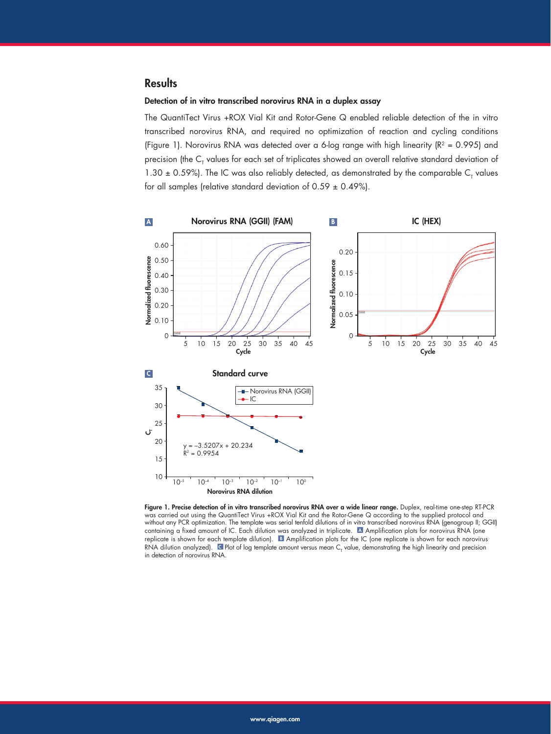## **Results**

#### Detection of in vitro transcribed norovirus RNA in a duplex assay

The QuantiTect Virus +ROX Vial Kit and Rotor-Gene Q enabled reliable detection of the in vitro transcribed norovirus RNA, and required no optimization of reaction and cycling conditions (Figure 1). Norovirus RNA was detected over a 6-log range with high linearity ( $R^2$  = 0.995) and precision (the  ${\sf C}_{\sf T}$  values for each set of triplicates showed an overall relative standard deviation of 1.30  $\pm$  0.59%). The IC was also reliably detected, as demonstrated by the comparable C<sub>T</sub> values for all samples (relative standard deviation of  $0.59 \pm 0.49\%$ ).



Figure 1. Precise detection of in vitro transcribed norovirus RNA over a wide linear range. Duplex, real-time one-step RT-PCR was carried out using the QuantiTect Virus +ROX Vial Kit and the Rotor-Gene Q according to the supplied protocol and without any PCR optimization. The template was serial tenfold dilutions of in vitro transcribed norovirus RNA (genogroup II; GGII) containing a fixed amount of IC. Each dilution was analyzed in triplicate. A Amplification plots for norovirus RNA (one replicate is shown for each template dilution). **B** Amplification plots for the IC (one replicate is shown for each norovirus RNA dilution analyzed).  $\blacksquare$  Plot of log template amount versus mean  $C_{\tau}$  value, demonstrating the high linearity and precision in detection of norovirus RNA.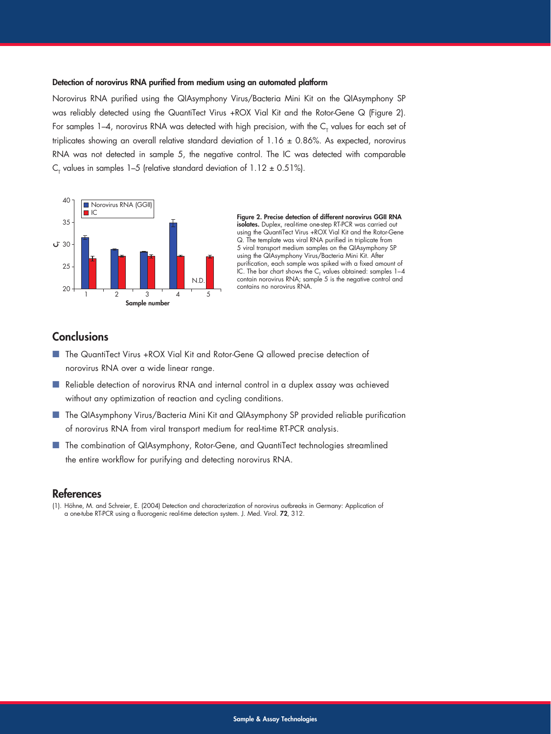#### Detection of norovirus RNA purified from medium using an automated platform

Norovirus RNA purified using the QIAsymphony Virus/Bacteria Mini Kit on the QIAsymphony SP was reliably detected using the QuantiTect Virus +ROX Vial Kit and the Rotor-Gene Q (Figure 2). For samples 1–4, norovirus RNA was detected with high precision, with the  ${\sf C}_{_{\sf T}}$  values for each set of triplicates showing an overall relative standard deviation of  $1.16 \pm 0.86$ %. As expected, norovirus RNA was not detected in sample 5, the negative control. The IC was detected with comparable  $\textsf{C}_{_{\!\top}}$  values in samples 1–5 (relative standard deviation of 1.12  $\pm$  0.51%).



Figure 2. Precise detection of different norovirus GGII RNA isolates. Duplex, real-time one-step RT-PCR was carried out using the QuantiTect Virus +ROX Vial Kit and the Rotor-Gene Q. The template was viral RNA purified in triplicate from 5 viral transport medium samples on the QIAsymphony SP using the QIAsymphony Virus/Bacteria Mini Kit. After purification, each sample was spiked with a fixed amount of IC. The bar chart shows the  $C_{\tau}$  values obtained: samples  $1-4$ contain norovirus RNA; sample 5 is the negative control and contains no norovirus RNA.

## **Conclusions**

- The QuantiTect Virus +ROX Vial Kit and Rotor-Gene Q allowed precise detection of norovirus RNA over a wide linear range.
- Reliable detection of norovirus RNA and internal control in a duplex assay was achieved without any optimization of reaction and cycling conditions.
- The QIAsymphony Virus/Bacteria Mini Kit and QIAsymphony SP provided reliable purification of norovirus RNA from viral transport medium for real-time RT-PCR analysis.
- The combination of QIAsymphony, Rotor-Gene, and QuantiTect technologies streamlined the entire workflow for purifying and detecting norovirus RNA.

## References

(1). Höhne, M. and Schreier, E. (2004) Detection and characterization of norovirus outbreaks in Germany: Application of a one-tube RT-PCR using a fluorogenic real-time detection system. J. Med. Virol. 72, 312.